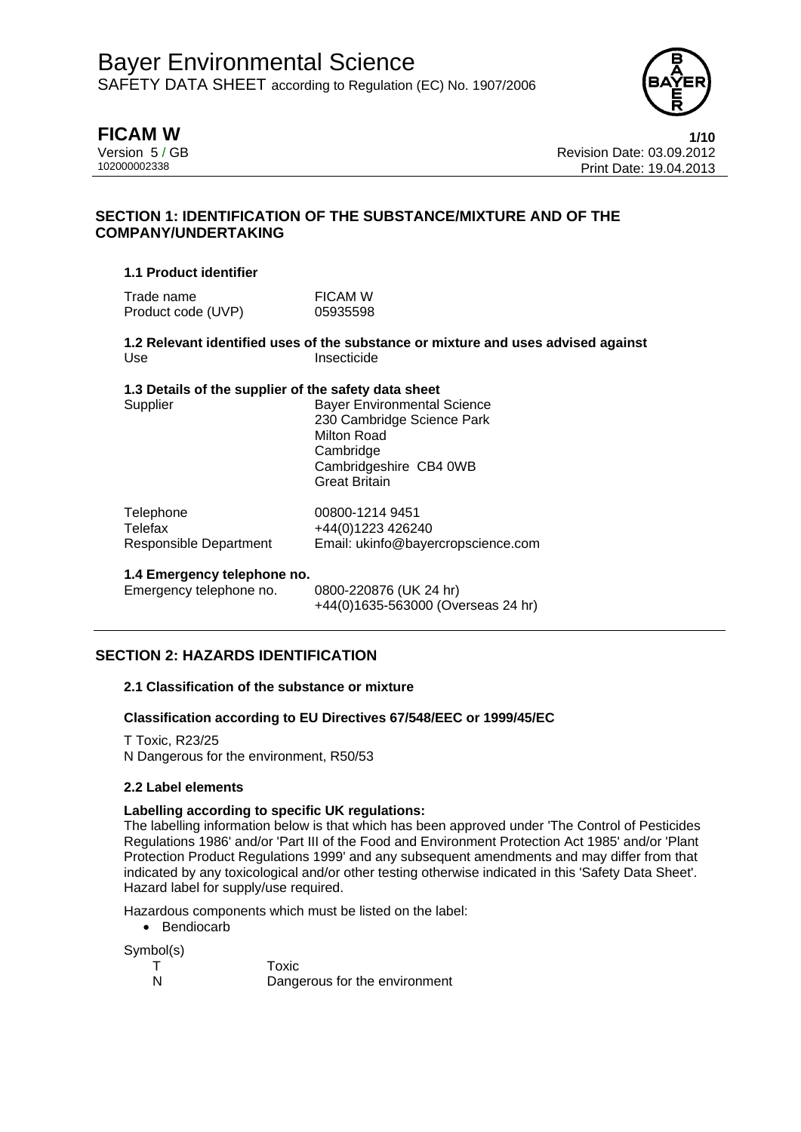

**FICAM W 1/10** Version 5 / GB<br>10200002338<br>Print Date: 19 04 2013 Print Date: 19.04.2013

# **SECTION 1: IDENTIFICATION OF THE SUBSTANCE/MIXTURE AND OF THE COMPANY/UNDERTAKING**

### **1.1 Product identifier**

Trade name FICAM W Product code (UVP) 05935598

**1.2 Relevant identified uses of the substance or mixture and uses advised against**  Use Insecticide

### **1.3 Details of the supplier of the safety data sheet**

Supplier **Bayer Environmental Science** 230 Cambridge Science Park Milton Road **Cambridge** Cambridgeshire CB4 0WB Great Britain

| Telephone              | 00800-1214 9451                    |
|------------------------|------------------------------------|
| Telefax                | +44(0)1223 426240                  |
| Responsible Department | Email: ukinfo@bayercropscience.com |

### **1.4 Emergency telephone no.**

Emergency telephone no. 0800-220876 (UK 24 hr)

+44(0)1635-563000 (Overseas 24 hr)

# **SECTION 2: HAZARDS IDENTIFICATION**

### **2.1 Classification of the substance or mixture**

### **Classification according to EU Directives 67/548/EEC or 1999/45/EC**

T Toxic, R23/25 N Dangerous for the environment, R50/53

### **2.2 Label elements**

### **Labelling according to specific UK regulations:**

The labelling information below is that which has been approved under 'The Control of Pesticides Regulations 1986' and/or 'Part III of the Food and Environment Protection Act 1985' and/or 'Plant Protection Product Regulations 1999' and any subsequent amendments and may differ from that indicated by any toxicological and/or other testing otherwise indicated in this 'Safety Data Sheet'. Hazard label for supply/use required.

Hazardous components which must be listed on the label:

• Bendiocarb

Symbol(s)

T Toxic N Dangerous for the environment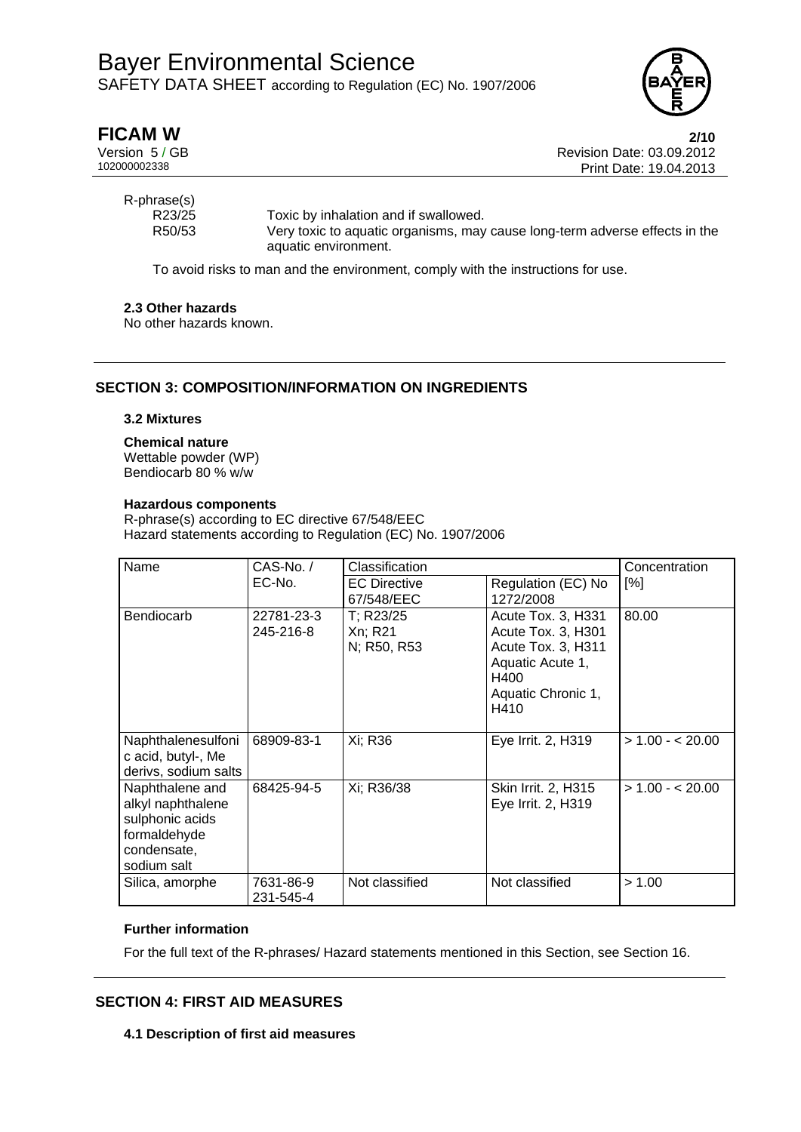

| <b>FICAM W</b> |  |
|----------------|--|
|----------------|--|

**FICAM W 2/10** Version 5 / GB Revision Date: 03.09.2012 Print Date: 19.04.2013

R-phrase(s)

R23/25 Toxic by inhalation and if swallowed. R50/53 Very toxic to aquatic organisms, may cause long-term adverse effects in the aquatic environment.

To avoid risks to man and the environment, comply with the instructions for use.

## **2.3 Other hazards**

No other hazards known.

# **SECTION 3: COMPOSITION/INFORMATION ON INGREDIENTS**

### **3.2 Mixtures**

### **Chemical nature**

Wettable powder (WP) Bendiocarb 80 % w/w

#### **Hazardous components**

R-phrase(s) according to EC directive 67/548/EEC Hazard statements according to Regulation (EC) No. 1907/2006

| Name<br>$CAS-No. /$                                                                                   |                         | Classification                      |                                                                                                                          | Concentration    |
|-------------------------------------------------------------------------------------------------------|-------------------------|-------------------------------------|--------------------------------------------------------------------------------------------------------------------------|------------------|
|                                                                                                       | EC-No.                  | <b>EC Directive</b><br>67/548/EEC   | Regulation (EC) No<br>1272/2008                                                                                          | [%]              |
| Bendiocarb                                                                                            | 22781-23-3<br>245-216-8 | T; R23/25<br>Xn; R21<br>N; R50, R53 | Acute Tox. 3, H331<br>Acute Tox. 3, H301<br>Acute Tox. 3, H311<br>Aquatic Acute 1,<br>H400<br>Aquatic Chronic 1,<br>H410 | 80.00            |
| Naphthalenesulfoni<br>c acid, butyl-, Me<br>derivs, sodium salts                                      | 68909-83-1              | Xi; R36                             | Eye Irrit. 2, H319                                                                                                       | $> 1.00 - 20.00$ |
| Naphthalene and<br>alkyl naphthalene<br>sulphonic acids<br>formaldehyde<br>condensate,<br>sodium salt | 68425-94-5              | Xi; R36/38                          | Skin Irrit. 2, H315<br>Eye Irrit. 2, H319                                                                                | $> 1.00 - 20.00$ |
| Silica, amorphe                                                                                       | 7631-86-9<br>231-545-4  | Not classified                      | Not classified                                                                                                           | > 1.00           |

### **Further information**

For the full text of the R-phrases/ Hazard statements mentioned in this Section, see Section 16.

# **SECTION 4: FIRST AID MEASURES**

**4.1 Description of first aid measures**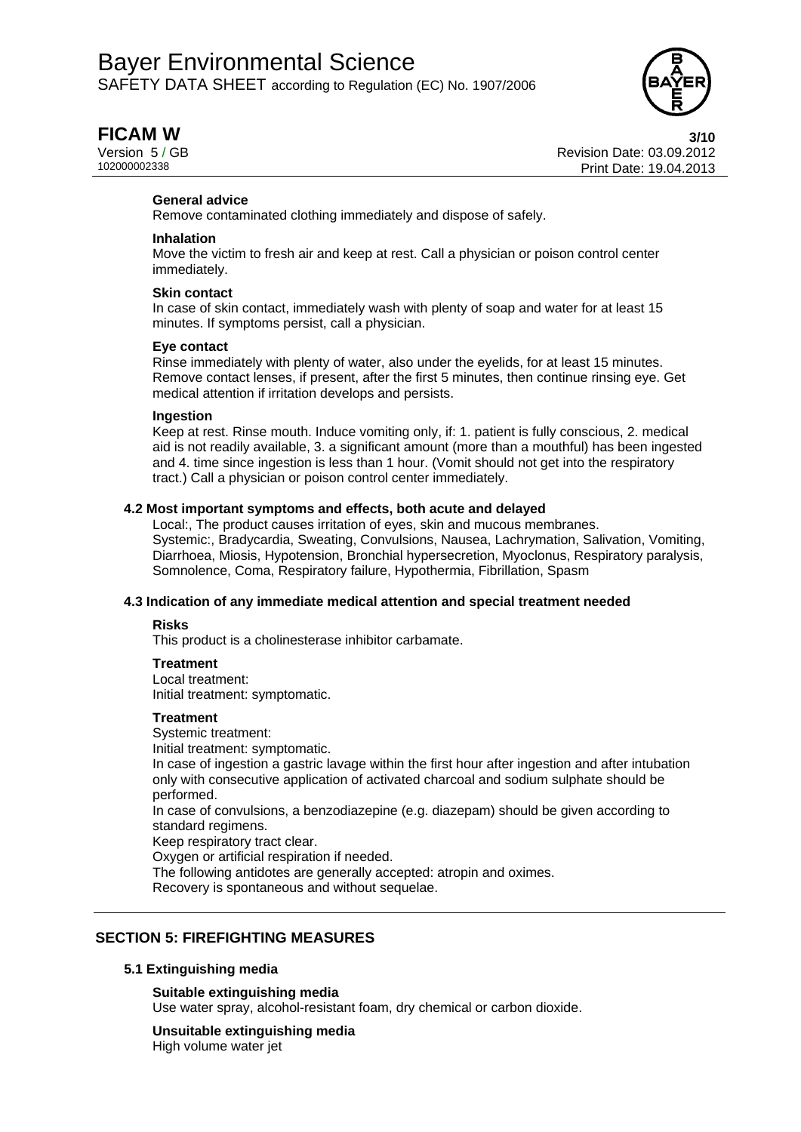

**FICAM W** 3/10 Version 5 / GB<br>10200002338<br>Print Date: 19 04 2013 Print Date: 19.04.2013

#### **General advice**

Remove contaminated clothing immediately and dispose of safely.

#### **Inhalation**

Move the victim to fresh air and keep at rest. Call a physician or poison control center immediately.

#### **Skin contact**

In case of skin contact, immediately wash with plenty of soap and water for at least 15 minutes. If symptoms persist, call a physician.

#### **Eye contact**

Rinse immediately with plenty of water, also under the eyelids, for at least 15 minutes. Remove contact lenses, if present, after the first 5 minutes, then continue rinsing eye. Get medical attention if irritation develops and persists.

#### **Ingestion**

Keep at rest. Rinse mouth. Induce vomiting only, if: 1. patient is fully conscious, 2. medical aid is not readily available, 3. a significant amount (more than a mouthful) has been ingested and 4. time since ingestion is less than 1 hour. (Vomit should not get into the respiratory tract.) Call a physician or poison control center immediately.

#### **4.2 Most important symptoms and effects, both acute and delayed**

Local:, The product causes irritation of eyes, skin and mucous membranes. Systemic:, Bradycardia, Sweating, Convulsions, Nausea, Lachrymation, Salivation, Vomiting, Diarrhoea, Miosis, Hypotension, Bronchial hypersecretion, Myoclonus, Respiratory paralysis, Somnolence, Coma, Respiratory failure, Hypothermia, Fibrillation, Spasm

#### **4.3 Indication of any immediate medical attention and special treatment needed**

#### **Risks**

This product is a cholinesterase inhibitor carbamate.

#### **Treatment**

Local treatment: Initial treatment: symptomatic.

#### **Treatment**

Systemic treatment: Initial treatment: symptomatic. In case of ingestion a gastric lavage within the first hour after ingestion and after intubation only with consecutive application of activated charcoal and sodium sulphate should be performed. In case of convulsions, a benzodiazepine (e.g. diazepam) should be given according to standard regimens. Keep respiratory tract clear. Oxygen or artificial respiration if needed. The following antidotes are generally accepted: atropin and oximes. Recovery is spontaneous and without sequelae.

## **SECTION 5: FIREFIGHTING MEASURES**

#### **5.1 Extinguishing media**

### **Suitable extinguishing media**

Use water spray, alcohol-resistant foam, dry chemical or carbon dioxide.

#### **Unsuitable extinguishing media**

High volume water jet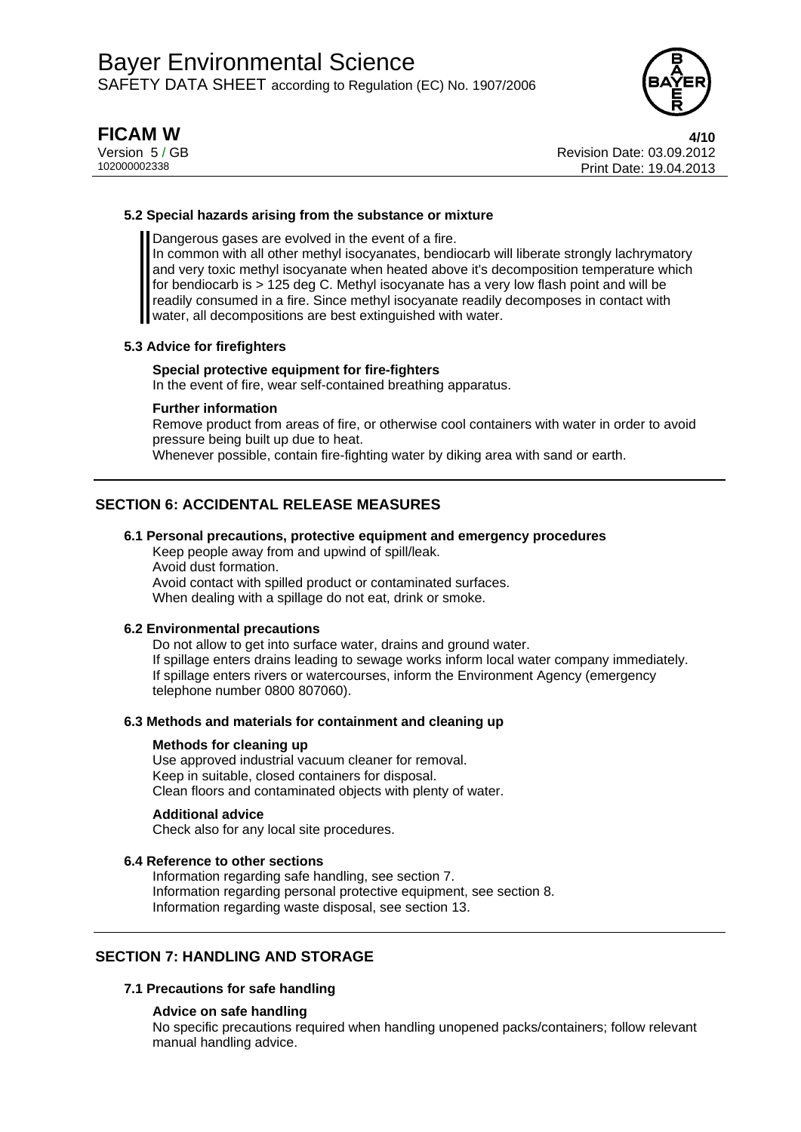

**FICAM W 4/10** Version 5 / GB<br>10200002338<br>Print Date: 19 04 2013 Print Date: 19.04.2013

#### **5.2 Special hazards arising from the substance or mixture**

Dangerous gases are evolved in the event of a fire.

In common with all other methyl isocyanates, bendiocarb will liberate strongly lachrymatory and very toxic methyl isocyanate when heated above it's decomposition temperature which for bendiocarb is > 125 deg C. Methyl isocyanate has a very low flash point and will be readily consumed in a fire. Since methyl isocyanate readily decomposes in contact with water, all decompositions are best extinguished with water.

#### **5.3 Advice for firefighters**

#### **Special protective equipment for fire-fighters**

In the event of fire, wear self-contained breathing apparatus.

#### **Further information**

Remove product from areas of fire, or otherwise cool containers with water in order to avoid pressure being built up due to heat.

Whenever possible, contain fire-fighting water by diking area with sand or earth.

# **SECTION 6: ACCIDENTAL RELEASE MEASURES**

#### **6.1 Personal precautions, protective equipment and emergency procedures**

Keep people away from and upwind of spill/leak. Avoid dust formation. Avoid contact with spilled product or contaminated surfaces. When dealing with a spillage do not eat, drink or smoke.

#### **6.2 Environmental precautions**

Do not allow to get into surface water, drains and ground water. If spillage enters drains leading to sewage works inform local water company immediately. If spillage enters rivers or watercourses, inform the Environment Agency (emergency telephone number 0800 807060).

#### **6.3 Methods and materials for containment and cleaning up**

#### **Methods for cleaning up**

Use approved industrial vacuum cleaner for removal. Keep in suitable, closed containers for disposal. Clean floors and contaminated objects with plenty of water.

#### **Additional advice**

Check also for any local site procedures.

#### **6.4 Reference to other sections**

Information regarding safe handling, see section 7. Information regarding personal protective equipment, see section 8. Information regarding waste disposal, see section 13.

### **SECTION 7: HANDLING AND STORAGE**

### **7.1 Precautions for safe handling**

#### **Advice on safe handling**

No specific precautions required when handling unopened packs/containers; follow relevant manual handling advice.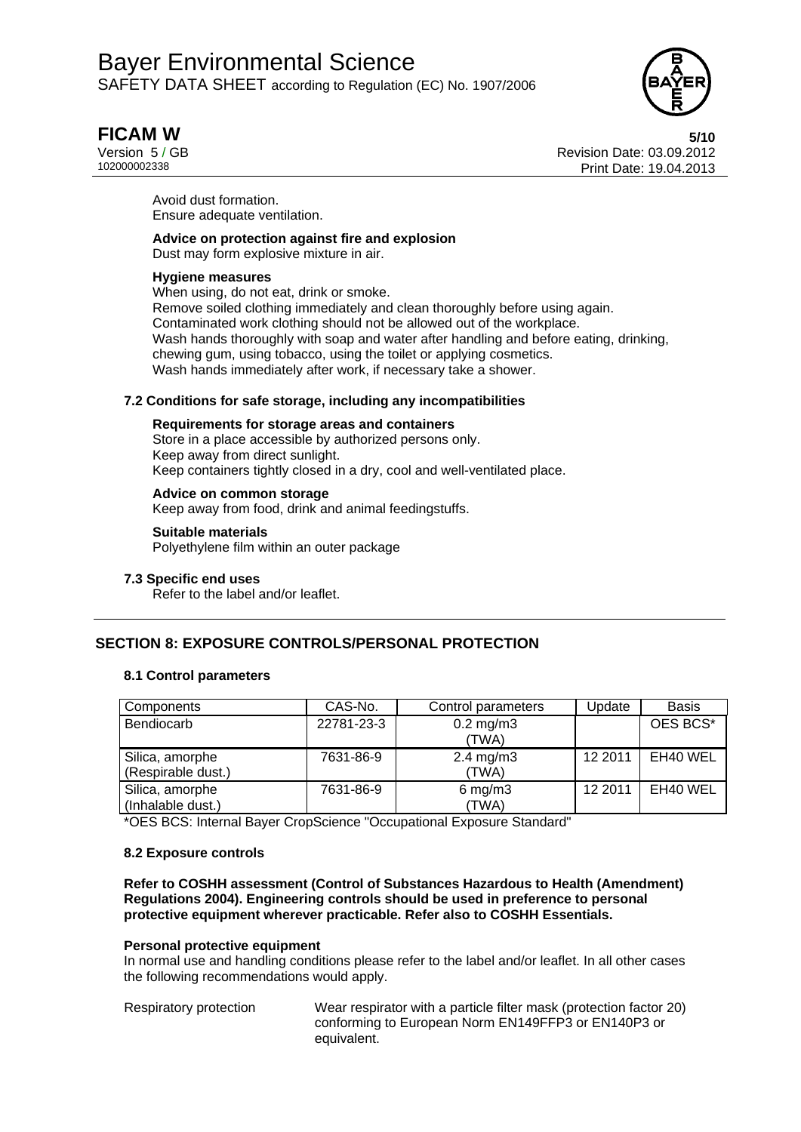

# **FICAM W 5/10**

Version 5 / GB<br>10200002338<br>Print Date: 19 04 2013 Print Date: 19.04.2013

Avoid dust formation. Ensure adequate ventilation.

## **Advice on protection against fire and explosion**

Dust may form explosive mixture in air.

#### **Hygiene measures**

When using, do not eat, drink or smoke. Remove soiled clothing immediately and clean thoroughly before using again. Contaminated work clothing should not be allowed out of the workplace. Wash hands thoroughly with soap and water after handling and before eating, drinking, chewing gum, using tobacco, using the toilet or applying cosmetics. Wash hands immediately after work, if necessary take a shower.

### **7.2 Conditions for safe storage, including any incompatibilities**

### **Requirements for storage areas and containers**

Store in a place accessible by authorized persons only. Keep away from direct sunlight. Keep containers tightly closed in a dry, cool and well-ventilated place.

## **Advice on common storage**

Keep away from food, drink and animal feedingstuffs.

### **Suitable materials**

Polyethylene film within an outer package

### **7.3 Specific end uses**

Refer to the label and/or leaflet.

# **SECTION 8: EXPOSURE CONTROLS/PERSONAL PROTECTION**

### **8.1 Control parameters**

| Components         | CAS-No.    | Control parameters   | Update  | <b>Basis</b> |
|--------------------|------------|----------------------|---------|--------------|
| Bendiocarb         | 22781-23-3 | $0.2 \text{ mg/m}$ 3 |         | OES BCS*     |
|                    |            | (TWA)                |         |              |
| Silica, amorphe    | 7631-86-9  | $2.4 \text{ mg/m}$ 3 | 12 2011 | EH40 WEL     |
| (Respirable dust.) |            | (TWA)                |         |              |
| Silica, amorphe    | 7631-86-9  | $6$ mg/m $3$         | 12 2011 | EH40 WEL     |
| (Inhalable dust.)  |            | (TWA)                |         |              |

\*OES BCS: Internal Bayer CropScience "Occupational Exposure Standard"

### **8.2 Exposure controls**

**Refer to COSHH assessment (Control of Substances Hazardous to Health (Amendment) Regulations 2004). Engineering controls should be used in preference to personal protective equipment wherever practicable. Refer also to COSHH Essentials.** 

#### **Personal protective equipment**

In normal use and handling conditions please refer to the label and/or leaflet. In all other cases the following recommendations would apply.

Respiratory protection Wear respirator with a particle filter mask (protection factor 20) conforming to European Norm EN149FFP3 or EN140P3 or equivalent.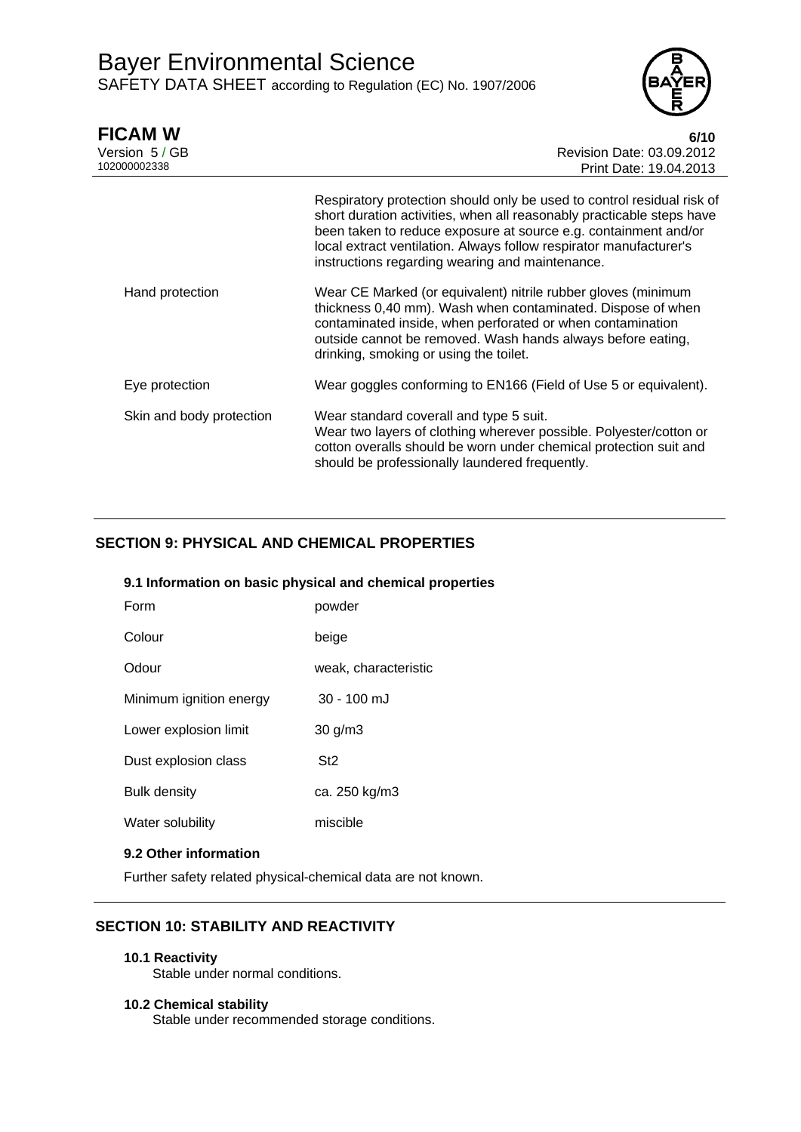

| <b>FICAM W</b><br>Version 5 / GB<br>102000002338 | 6/10<br>Revision Date: 03.09.2012<br>Print Date: 19.04.2013                                                                                                                                                                                                                                                                                 |
|--------------------------------------------------|---------------------------------------------------------------------------------------------------------------------------------------------------------------------------------------------------------------------------------------------------------------------------------------------------------------------------------------------|
|                                                  | Respiratory protection should only be used to control residual risk of<br>short duration activities, when all reasonably practicable steps have<br>been taken to reduce exposure at source e.g. containment and/or<br>local extract ventilation. Always follow respirator manufacturer's<br>instructions regarding wearing and maintenance. |
| Hand protection                                  | Wear CE Marked (or equivalent) nitrile rubber gloves (minimum<br>thickness 0,40 mm). Wash when contaminated. Dispose of when<br>contaminated inside, when perforated or when contamination<br>outside cannot be removed. Wash hands always before eating,<br>drinking, smoking or using the toilet.                                         |
| Eye protection                                   | Wear goggles conforming to EN166 (Field of Use 5 or equivalent).                                                                                                                                                                                                                                                                            |
| Skin and body protection                         | Wear standard coverall and type 5 suit.<br>Wear two layers of clothing wherever possible. Polyester/cotton or<br>cotton overalls should be worn under chemical protection suit and<br>should be professionally laundered frequently.                                                                                                        |

# **SECTION 9: PHYSICAL AND CHEMICAL PROPERTIES**

## **9.1 Information on basic physical and chemical properties**

| Form                    | powder               |
|-------------------------|----------------------|
| Colour                  | beige                |
| Odour                   | weak, characteristic |
| Minimum ignition energy | 30 - 100 mJ          |
| Lower explosion limit   | $30$ g/m $3$         |
| Dust explosion class    | St <sub>2</sub>      |
| <b>Bulk density</b>     | ca. 250 kg/m3        |
| Water solubility        | miscible             |
|                         |                      |

## **9.2 Other information**

Further safety related physical-chemical data are not known.

# **SECTION 10: STABILITY AND REACTIVITY**

**10.1 Reactivity** 

Stable under normal conditions.

#### **10.2 Chemical stability**

Stable under recommended storage conditions.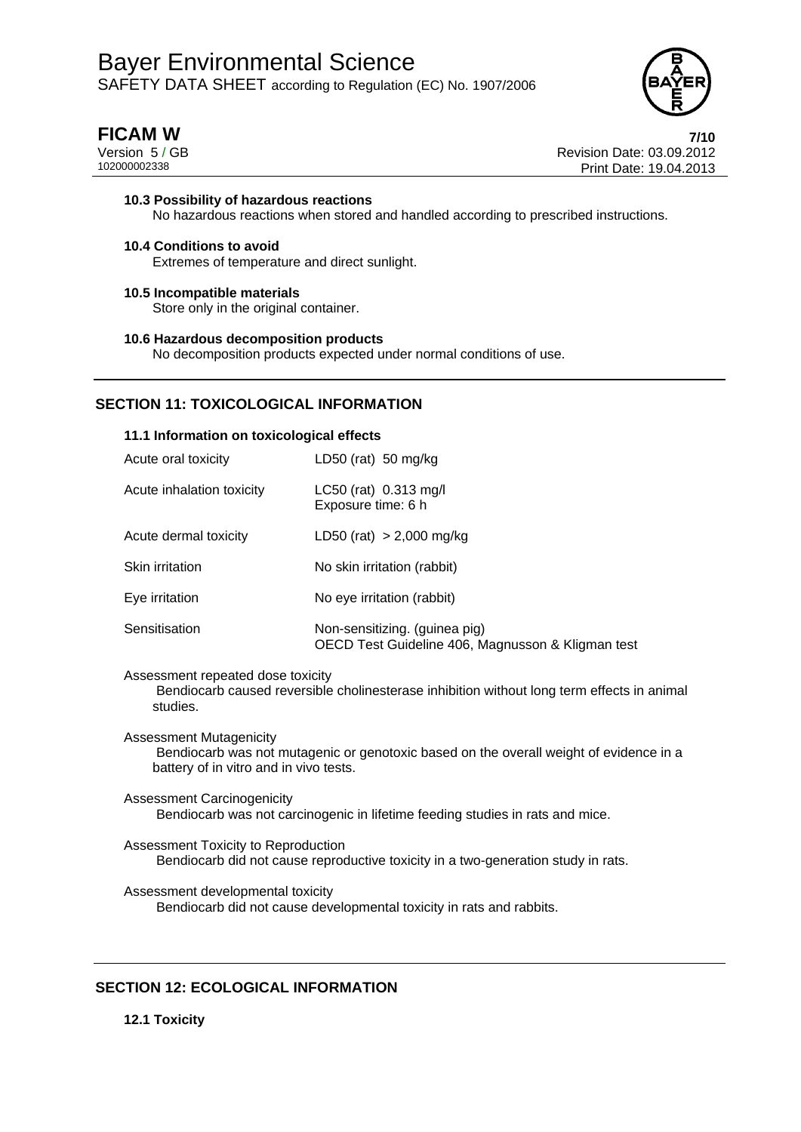

**FICAM W 7/10** Version 5 / GB Revision Date: 03.09.2012 Print Date: 19.04.2013

### **10.3 Possibility of hazardous reactions**  No hazardous reactions when stored and handled according to prescribed instructions.

- **10.4 Conditions to avoid**  Extremes of temperature and direct sunlight.
- **10.5 Incompatible materials**  Store only in the original container.
- **10.6 Hazardous decomposition products**  No decomposition products expected under normal conditions of use.

# **SECTION 11: TOXICOLOGICAL INFORMATION**

#### **11.1 Information on toxicological effects**

| Acute oral toxicity       | LD50 (rat) 50 mg/kg                                                                |
|---------------------------|------------------------------------------------------------------------------------|
| Acute inhalation toxicity | LC50 (rat) 0.313 mg/l<br>Exposure time: 6 h                                        |
| Acute dermal toxicity     | LD50 (rat) $> 2,000$ mg/kg                                                         |
| Skin irritation           | No skin irritation (rabbit)                                                        |
| Eye irritation            | No eye irritation (rabbit)                                                         |
| Sensitisation             | Non-sensitizing. (guinea pig)<br>OECD Test Guideline 406, Magnusson & Kligman test |

Assessment repeated dose toxicity

 Bendiocarb caused reversible cholinesterase inhibition without long term effects in animal studies.

Assessment Mutagenicity Bendiocarb was not mutagenic or genotoxic based on the overall weight of evidence in a battery of in vitro and in vivo tests.

Assessment Carcinogenicity Bendiocarb was not carcinogenic in lifetime feeding studies in rats and mice.

Assessment Toxicity to Reproduction Bendiocarb did not cause reproductive toxicity in a two-generation study in rats.

Assessment developmental toxicity Bendiocarb did not cause developmental toxicity in rats and rabbits.

# **SECTION 12: ECOLOGICAL INFORMATION**

**12.1 Toxicity**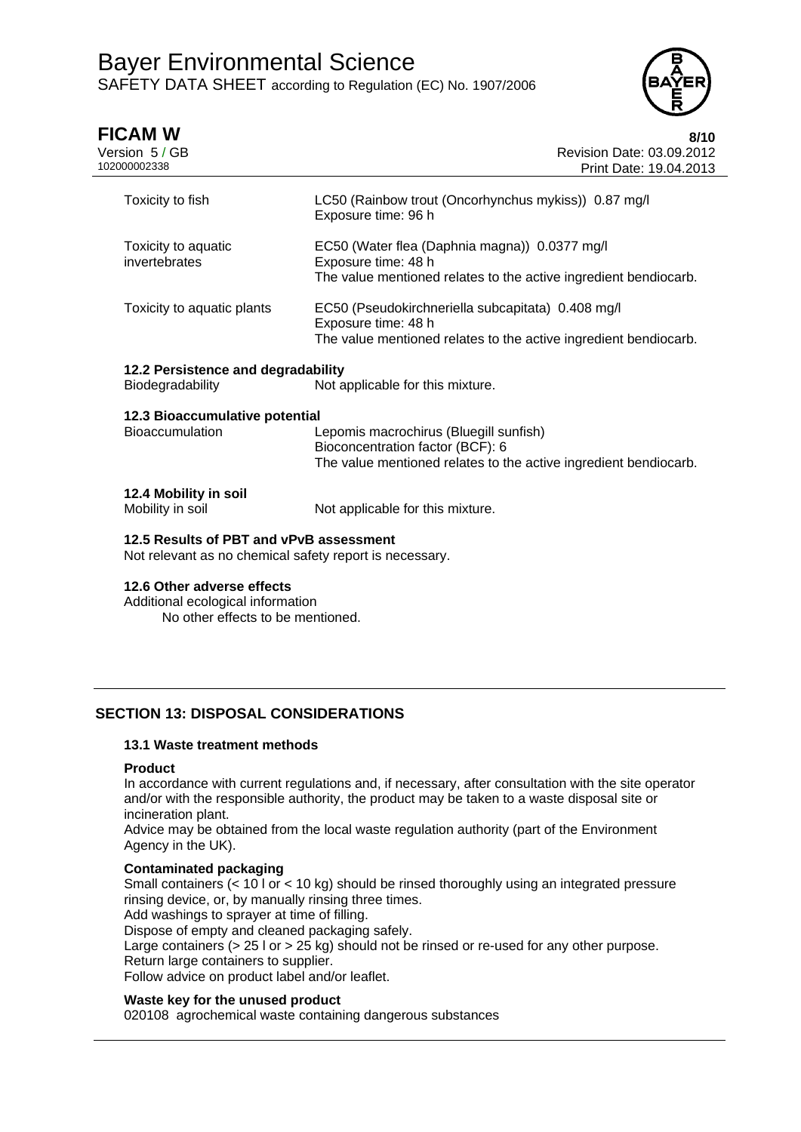

| <b>FICAM W</b><br>Version 5 / GB<br>102000002338                                                   | 8/10<br>Revision Date: 03.09.2012<br>Print Date: 19.04.2013                                                                                    |
|----------------------------------------------------------------------------------------------------|------------------------------------------------------------------------------------------------------------------------------------------------|
| Toxicity to fish                                                                                   | LC50 (Rainbow trout (Oncorhynchus mykiss)) 0.87 mg/l<br>Exposure time: 96 h                                                                    |
| Toxicity to aquatic<br>invertebrates                                                               | EC50 (Water flea (Daphnia magna)) 0.0377 mg/l<br>Exposure time: 48 h<br>The value mentioned relates to the active ingredient bendiocarb.       |
| Toxicity to aquatic plants                                                                         | EC50 (Pseudokirchneriella subcapitata) 0.408 mg/l<br>Exposure time: 48 h<br>The value mentioned relates to the active ingredient bendiocarb.   |
| 12.2 Persistence and degradability                                                                 |                                                                                                                                                |
| Biodegradability                                                                                   | Not applicable for this mixture.                                                                                                               |
| 12.3 Bioaccumulative potential<br><b>Bioaccumulation</b>                                           | Lepomis macrochirus (Bluegill sunfish)<br>Bioconcentration factor (BCF): 6<br>The value mentioned relates to the active ingredient bendiocarb. |
| 12.4 Mobility in soil<br>Mobility in soil                                                          | Not applicable for this mixture.                                                                                                               |
| 12.5 Results of PBT and vPvB assessment<br>Not relevant as no chemical safety report is necessary. |                                                                                                                                                |
| 12.6 Other adverse effects<br>Additional ecological information                                    |                                                                                                                                                |

No other effects to be mentioned.

# **SECTION 13: DISPOSAL CONSIDERATIONS**

### **13.1 Waste treatment methods**

#### **Product**

In accordance with current regulations and, if necessary, after consultation with the site operator and/or with the responsible authority, the product may be taken to a waste disposal site or incineration plant.

Advice may be obtained from the local waste regulation authority (part of the Environment Agency in the UK).

### **Contaminated packaging**

Small containers (< 10 l or < 10 kg) should be rinsed thoroughly using an integrated pressure rinsing device, or, by manually rinsing three times.

Add washings to sprayer at time of filling.

Dispose of empty and cleaned packaging safely.

Large containers (> 25 l or > 25 kg) should not be rinsed or re-used for any other purpose. Return large containers to supplier.

Follow advice on product label and/or leaflet.

### **Waste key for the unused product**

020108 agrochemical waste containing dangerous substances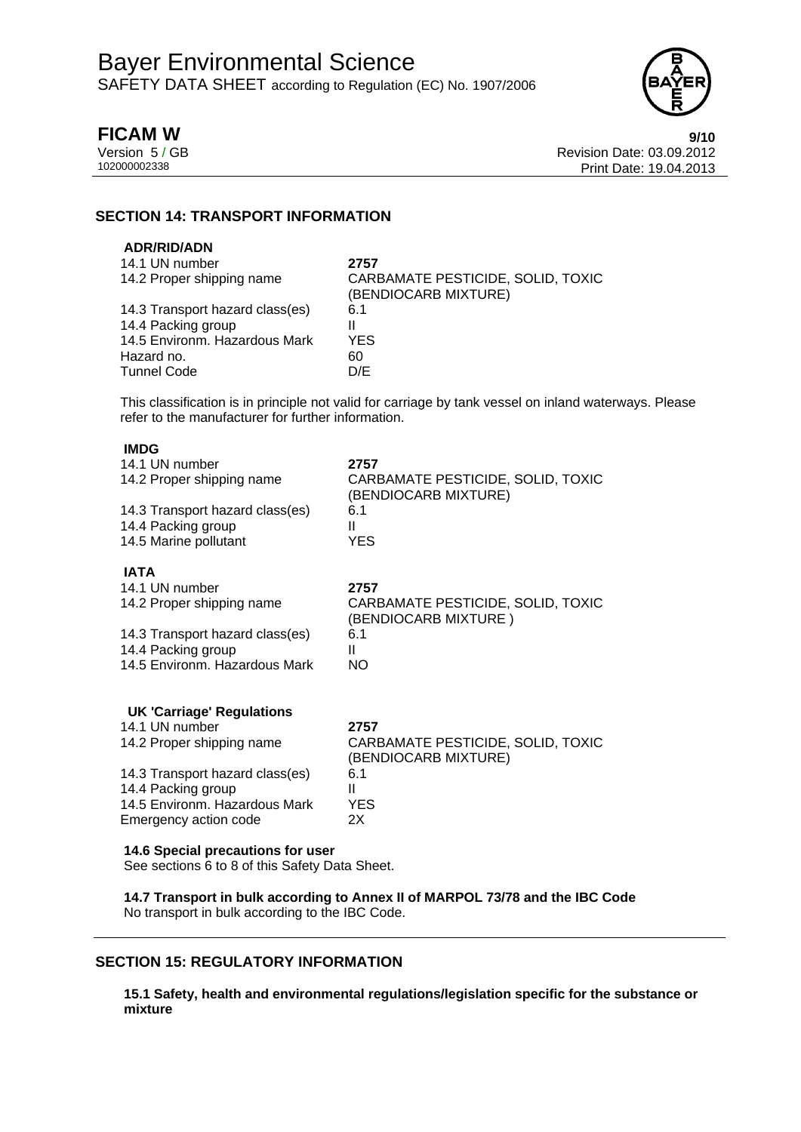

**FICAM W 9/10** Version 5 / GB Revision Date: 03.09.2012 Print Date: 19.04.2013

## **SECTION 14: TRANSPORT INFORMATION**

### **ADR/RID/ADN**

| 14.1 UN number                  | 2757                              |
|---------------------------------|-----------------------------------|
| 14.2 Proper shipping name       | CARBAMATE PESTICIDE, SOLID, TOXIC |
|                                 | (BENDIOCARB MIXTURE)              |
| 14.3 Transport hazard class(es) | 6.1                               |
| 14.4 Packing group              |                                   |
| 14.5 Environm. Hazardous Mark   | <b>YES</b>                        |
| Hazard no.                      | 60                                |
| <b>Tunnel Code</b>              | D/E                               |
|                                 |                                   |

This classification is in principle not valid for carriage by tank vessel on inland waterways. Please refer to the manufacturer for further information.

### **IMDG**

| 14.1 UN number<br>14.2 Proper shipping name                                         | 2757<br>CARBAMATE PESTICIDE, SOLID, TOXIC<br>(BENDIOCARB MIXTURE) |
|-------------------------------------------------------------------------------------|-------------------------------------------------------------------|
| 14.3 Transport hazard class(es)                                                     | 6.1                                                               |
| 14.4 Packing group                                                                  | Ш                                                                 |
| 14.5 Marine pollutant                                                               | <b>YES</b>                                                        |
| <b>IATA</b>                                                                         |                                                                   |
| 14.1 UN number                                                                      | 2757                                                              |
| 14.2 Proper shipping name                                                           | CARBAMATE PESTICIDE, SOLID, TOXIC<br>(BENDIOCARB MIXTURE)         |
| 14.3 Transport hazard class(es)                                                     | 6.1                                                               |
| 14.4 Packing group                                                                  | Ш                                                                 |
| 14.5 Environm. Hazardous Mark                                                       | NO                                                                |
| <b>UK 'Carriage' Regulations</b>                                                    |                                                                   |
| 14.1 UN number                                                                      | 2757                                                              |
| 14.2 Proper shipping name                                                           | CARBAMATE PESTICIDE, SOLID, TOXIC<br>(BENDIOCARB MIXTURE)         |
| 14.3 Transport hazard class(es)                                                     | 6.1                                                               |
| 14.4 Packing group                                                                  | Ш                                                                 |
| 14.5 Environm. Hazardous Mark                                                       | <b>YES</b>                                                        |
| Emergency action code                                                               | 2X                                                                |
| 14.6 Special precautions for user<br>See sections 6 to 8 of this Safety Data Sheet. |                                                                   |

**14.7 Transport in bulk according to Annex II of MARPOL 73/78 and the IBC Code**  No transport in bulk according to the IBC Code.

# **SECTION 15: REGULATORY INFORMATION**

**15.1 Safety, health and environmental regulations/legislation specific for the substance or mixture**